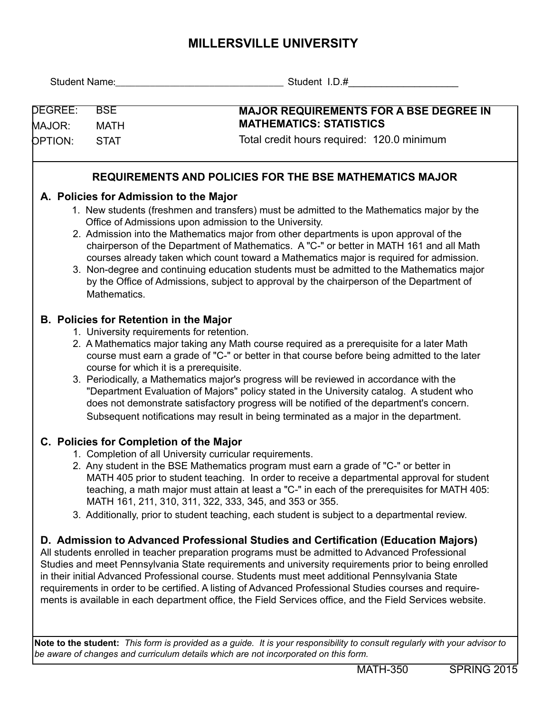## **MILLERSVILLE UNIVERSITY**

| Student Name:                 | ______________ Student I.D.#                                                                                                                                                                                                                                                                                                                                                                                                                                                                                                                                                                                                                                 |  |  |  |  |  |
|-------------------------------|--------------------------------------------------------------------------------------------------------------------------------------------------------------------------------------------------------------------------------------------------------------------------------------------------------------------------------------------------------------------------------------------------------------------------------------------------------------------------------------------------------------------------------------------------------------------------------------------------------------------------------------------------------------|--|--|--|--|--|
| DEGREE:<br><b>BSE</b>         | <b>MAJOR REQUIREMENTS FOR A BSE DEGREE IN</b>                                                                                                                                                                                                                                                                                                                                                                                                                                                                                                                                                                                                                |  |  |  |  |  |
| <b>MATH</b><br>MAJOR:         | <b>MATHEMATICS: STATISTICS</b>                                                                                                                                                                                                                                                                                                                                                                                                                                                                                                                                                                                                                               |  |  |  |  |  |
| <b>OPTION:</b><br><b>STAT</b> | Total credit hours required: 120.0 minimum                                                                                                                                                                                                                                                                                                                                                                                                                                                                                                                                                                                                                   |  |  |  |  |  |
|                               | REQUIREMENTS AND POLICIES FOR THE BSE MATHEMATICS MAJOR                                                                                                                                                                                                                                                                                                                                                                                                                                                                                                                                                                                                      |  |  |  |  |  |
|                               | A. Policies for Admission to the Major                                                                                                                                                                                                                                                                                                                                                                                                                                                                                                                                                                                                                       |  |  |  |  |  |
| Mathematics.                  | 1. New students (freshmen and transfers) must be admitted to the Mathematics major by the<br>Office of Admissions upon admission to the University.<br>2. Admission into the Mathematics major from other departments is upon approval of the<br>chairperson of the Department of Mathematics. A "C-" or better in MATH 161 and all Math<br>courses already taken which count toward a Mathematics major is required for admission.<br>3. Non-degree and continuing education students must be admitted to the Mathematics major<br>by the Office of Admissions, subject to approval by the chairperson of the Department of                                 |  |  |  |  |  |
|                               | <b>B. Policies for Retention in the Major</b>                                                                                                                                                                                                                                                                                                                                                                                                                                                                                                                                                                                                                |  |  |  |  |  |
|                               | 1. University requirements for retention.<br>2. A Mathematics major taking any Math course required as a prerequisite for a later Math<br>course must earn a grade of "C-" or better in that course before being admitted to the later<br>course for which it is a prerequisite.<br>3. Periodically, a Mathematics major's progress will be reviewed in accordance with the<br>"Department Evaluation of Majors" policy stated in the University catalog. A student who<br>does not demonstrate satisfactory progress will be notified of the department's concern.<br>Subsequent notifications may result in being terminated as a major in the department. |  |  |  |  |  |
|                               | C. Policies for Completion of the Major                                                                                                                                                                                                                                                                                                                                                                                                                                                                                                                                                                                                                      |  |  |  |  |  |
|                               | 1. Completion of all University curricular requirements.<br>2. Any student in the BSE Mathematics program must earn a grade of "C-" or better in<br>MATH 405 prior to student teaching. In order to receive a departmental approval for student<br>teaching, a math major must attain at least a "C-" in each of the prerequisites for MATH 405:<br>MATH 161, 211, 310, 311, 322, 333, 345, and 353 or 355.<br>3. Additionally, prior to student teaching, each student is subject to a departmental review.                                                                                                                                                 |  |  |  |  |  |
|                               | D. Admission to Advanced Professional Studies and Certification (Education Majors)                                                                                                                                                                                                                                                                                                                                                                                                                                                                                                                                                                           |  |  |  |  |  |
|                               | All students enrolled in teacher preparation programs must be admitted to Advanced Professional<br>Studies and meet Pennsylvania State requirements and university requirements prior to being enrolled<br>in their initial Advanced Professional course. Students must meet additional Pennsylvania State<br>requirements in order to be certified. A listing of Advanced Professional Studies courses and require-<br>ments is available in each department office, the Field Services office, and the Field Services website.                                                                                                                             |  |  |  |  |  |
|                               | Note to the student: This form is provided as a guide. It is your responsibility to consult regularly with your advisor to<br>be aware of changes and curriculum details which are not incorporated on this form.                                                                                                                                                                                                                                                                                                                                                                                                                                            |  |  |  |  |  |